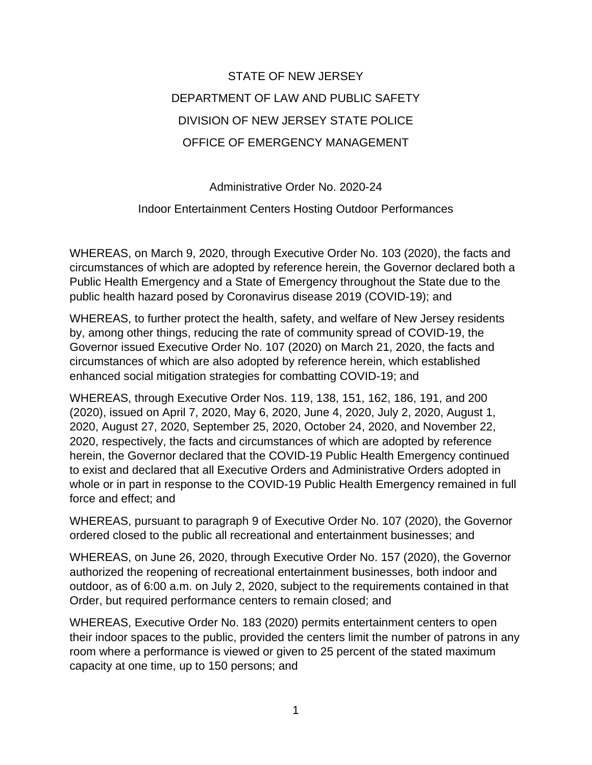## STATE OF NEW JERSEY DEPARTMENT OF LAW AND PUBLIC SAFETY DIVISION OF NEW JERSEY STATE POLICE OFFICE OF EMERGENCY MANAGEMENT

Administrative Order No. 2020-24

Indoor Entertainment Centers Hosting Outdoor Performances

WHEREAS, on March 9, 2020, through Executive Order No. 103 (2020), the facts and circumstances of which are adopted by reference herein, the Governor declared both a Public Health Emergency and a State of Emergency throughout the State due to the public health hazard posed by Coronavirus disease 2019 (COVID-19); and

WHEREAS, to further protect the health, safety, and welfare of New Jersey residents by, among other things, reducing the rate of community spread of COVID-19, the Governor issued Executive Order No. 107 (2020) on March 21, 2020, the facts and circumstances of which are also adopted by reference herein, which established enhanced social mitigation strategies for combatting COVID-19; and

WHEREAS, through Executive Order Nos. 119, 138, 151, 162, 186, 191, and 200 (2020), issued on April 7, 2020, May 6, 2020, June 4, 2020, July 2, 2020, August 1, 2020, August 27, 2020, September 25, 2020, October 24, 2020, and November 22, 2020, respectively, the facts and circumstances of which are adopted by reference herein, the Governor declared that the COVID-19 Public Health Emergency continued to exist and declared that all Executive Orders and Administrative Orders adopted in whole or in part in response to the COVID-19 Public Health Emergency remained in full force and effect; and

WHEREAS, pursuant to paragraph 9 of Executive Order No. 107 (2020), the Governor ordered closed to the public all recreational and entertainment businesses; and

WHEREAS, on June 26, 2020, through Executive Order No. 157 (2020), the Governor authorized the reopening of recreational entertainment businesses, both indoor and outdoor, as of 6:00 a.m. on July 2, 2020, subject to the requirements contained in that Order, but required performance centers to remain closed; and

WHEREAS, Executive Order No. 183 (2020) permits entertainment centers to open their indoor spaces to the public, provided the centers limit the number of patrons in any room where a performance is viewed or given to 25 percent of the stated maximum capacity at one time, up to 150 persons; and